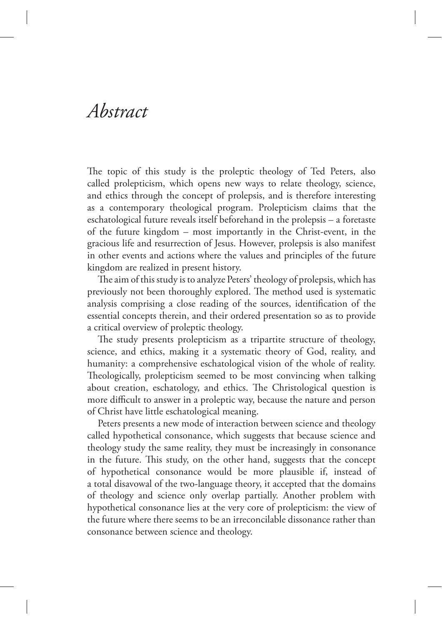## *Abstract*

The topic of this study is the proleptic theology of Ted Peters, also called prolepticism, which opens new ways to relate theology, science, and ethics through the concept of prolepsis, and is therefore interesting as a contemporary theological program. Prolepticism claims that the eschatological future reveals itself beforehand in the prolepsis – a foretaste of the future kingdom – most importantly in the Christ-event, in the gracious life and resurrection of Jesus. However, prolepsis is also manifest in other events and actions where the values and principles of the future kingdom are realized in present history.

The aim of this study is to analyze Peters' theology of prolepsis, which has previously not been thoroughly explored. The method used is systematic analysis comprising a close reading of the sources, identification of the essential concepts therein, and their ordered presentation so as to provide a critical overview of proleptic theology.

The study presents prolepticism as a tripartite structure of theology, science, and ethics, making it a systematic theory of God, reality, and humanity: a comprehensive eschatological vision of the whole of reality. Theologically, prolepticism seemed to be most convincing when talking about creation, eschatology, and ethics. The Christological question is more difficult to answer in a proleptic way, because the nature and person of Christ have little eschatological meaning.

Peters presents a new mode of interaction between science and theology called hypothetical consonance, which suggests that because science and theology study the same reality, they must be increasingly in consonance in the future. This study, on the other hand, suggests that the concept of hypothetical consonance would be more plausible if, instead of a total disavowal of the two-language theory, it accepted that the domains of theology and science only overlap partially. Another problem with hypothetical consonance lies at the very core of prolepticism: the view of the future where there seems to be an irreconcilable dissonance rather than consonance between science and theology.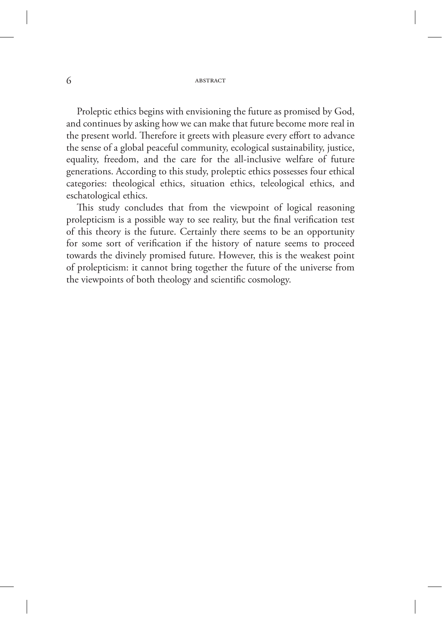## 6 ABSTRACT

Proleptic ethics begins with envisioning the future as promised by God, and continues by asking how we can make that future become more real in the present world. Therefore it greets with pleasure every effort to advance the sense of a global peaceful community, ecological sustainability, justice, equality, freedom, and the care for the all-inclusive welfare of future generations. According to this study, proleptic ethics possesses four ethical categories: theological ethics, situation ethics, teleological ethics, and eschatological ethics.

This study concludes that from the viewpoint of logical reasoning prolepticism is a possible way to see reality, but the final verification test of this theory is the future. Certainly there seems to be an opportunity for some sort of verification if the history of nature seems to proceed towards the divinely promised future. However, this is the weakest point of prolepticism: it cannot bring together the future of the universe from the viewpoints of both theology and scientific cosmology.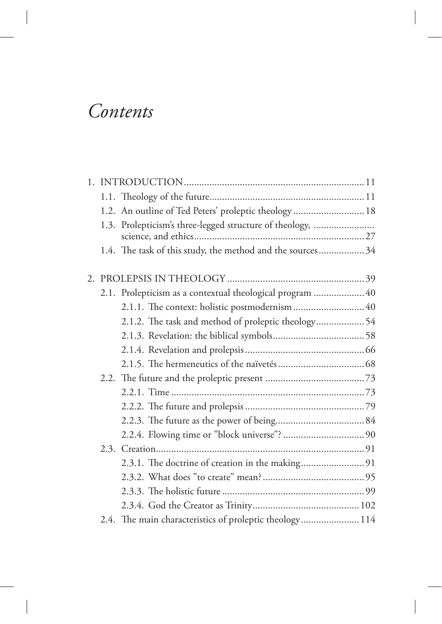## *Contents*

|  | 1.2. An outline of Ted Peters' proleptic theology  18     |  |
|--|-----------------------------------------------------------|--|
|  | 1.3. Prolepticism's three-legged structure of theology,   |  |
|  | 1.4. The task of this study, the method and the sources34 |  |
|  |                                                           |  |
|  | 2.1. Prolepticism as a contextual theological program  40 |  |
|  | 2.1.1. The context: holistic postmodernism 40             |  |
|  | 2.1.2. The task and method of proleptic theology 54       |  |
|  |                                                           |  |
|  |                                                           |  |
|  |                                                           |  |
|  |                                                           |  |
|  |                                                           |  |
|  |                                                           |  |
|  |                                                           |  |
|  |                                                           |  |
|  |                                                           |  |
|  |                                                           |  |
|  |                                                           |  |
|  |                                                           |  |
|  |                                                           |  |
|  | 2.4. The main characteristics of proleptic theology 114   |  |